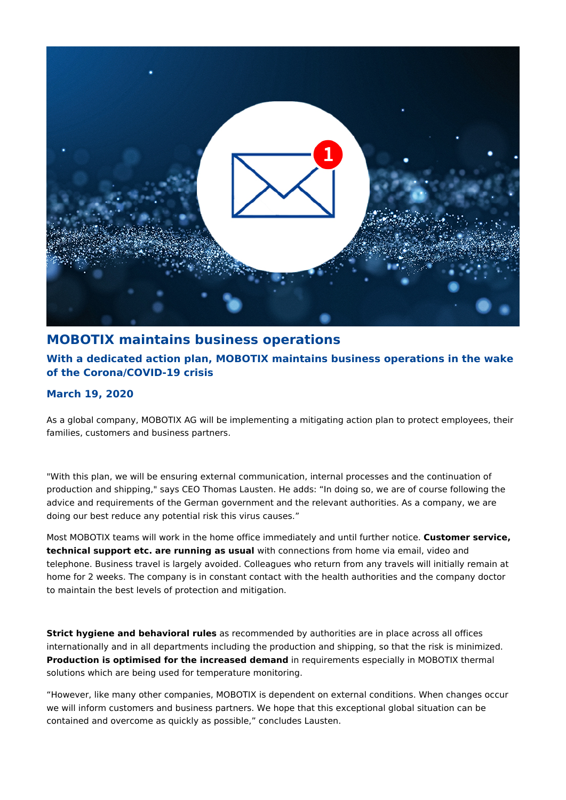

## **MOBOTIX maintains business operations**

## **With a dedicated action plan, MOBOTIX maintains business operations in the wake of the Corona/COVID-19 crisis**

## **March 19, 2020**

As a global company, MOBOTIX AG will be implementing a mitigating action plan to protect employees, their families, customers and business partners.

"With this plan, we will be ensuring external communication, internal processes and the continuation of production and shipping," says CEO Thomas Lausten. He adds: "In doing so, we are of course following the advice and requirements of the German government and the relevant authorities. As a company, we are doing our best reduce any potential risk this virus causes."

Most MOBOTIX teams will work in the home office immediately and until further notice. **Customer service, technical support etc. are running as usual** with connections from home via email, video and telephone. Business travel is largely avoided. Colleagues who return from any travels will initially remain at home for 2 weeks. The company is in constant contact with the health authorities and the company doctor to maintain the best levels of protection and mitigation.

**Strict hygiene and behavioral rules** as recommended by authorities are in place across all offices internationally and in all departments including the production and shipping, so that the risk is minimized. **Production is optimised for the increased demand** in requirements especially in MOBOTIX thermal solutions which are being used for temperature monitoring.

"However, like many other companies, MOBOTIX is dependent on external conditions. When changes occur we will inform customers and business partners. We hope that this exceptional global situation can be contained and overcome as quickly as possible," concludes Lausten.